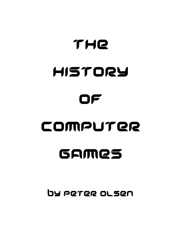## THE HISTORY OF COMPUTER GAMES

By PeteR OlseN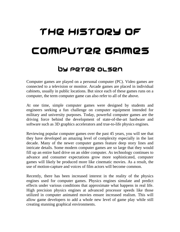## THe HIstoRy oF ComputeR GAmes

## By PeteR Olsen

Computer games are played on a personal computer (PC). Video games are connected to a television or monitor. Arcade games are placed in individual cabinets, usually in public locations. But since each of these games runs on a computer, the term computer game can also refer to all of the above.

At one time, simple computer games were designed by students and engineers seeking a fun challenge on computer equipment intended for military and university purposes. Today, powerful computer games are the driving force behind the development of state-of-the-art hardware and software such as 3D graphics accelerators and true-to-life physics engines.

Reviewing popular computer games over the past 45 years, you will see that they have developed an amazing level of complexity especially in the last decade. Many of the newer computer games feature deep story lines and intricate details. Some modern computer games are so large that they would fill up an entire hard drive on an older computer. As technology continues to advance and consumer expectations grow more sophisticated, computer games will likely be produced more like cinematic movies. As a result, the use of motion-capture and voices of film actors will become common.

Recently, there has been increased interest in the reality of the physics engines used for computer games. Physics engines simulate and predict effects under various conditions that approximate what happens in real life. High precision physics engines at advanced processor speeds like those utilized in computer animated movies ensure increased realism. This will allow game developers to add a whole new level of game play while still creating stunning graphical environments.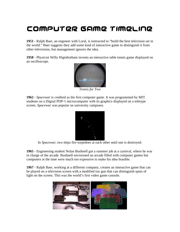## COMPUTER GAME TIMELINE

**1951** - Ralph Baer, an engineer with Loral, is instructed to "build the best television set in the world." Baer suggests they add some kind of interactive game to distinguish it from other televisions, but management ignores the idea.

**1958** - Physicist Willy Higinbotham invents an interactive table tennis game displayed on an oscilloscope.



*Tennis for Two*

**1962** - *Spacewar* is credited as the first computer game. It was programmed by MIT students on a Digital PDP-1 microcomputer with its graphics displayed on a teletype screen. *Spacewar* was popular on university campuses.



In *Spacewar*, two ships fire torpedoes at each other until one is destroyed.

**1965** - Engineering student Nolan Bushnell got a summer job at a carnival, where he was in charge of the arcade. Bushnell envisioned an arcade filled with computer games but computers at the time were much too expensive to make his idea feasible.

**1967** - Ralph Baer, working at a different company, creates an interactive game that can be played on a television screen with a modified toy gun that can distinguish spots of light on the screen. This was the world's first video game console.

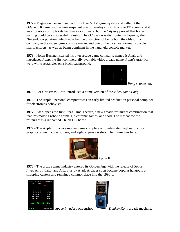**1972** - Magnavox began manufacturing Baer's TV game system and called it the *Odyssey*. It came with semi-transparent plastic overlays to stick on the TV screen and it was not noteworthy for its hardware or software, but the *Odyssey* proved that home gaming could be a successful industry. The *Odyssey* was distributed in Japan by the Nintendo corporation, which now has the distinction of being both the oldest intact company in the video game console market and one of the most well-known console manufacturers, as well as being dominant in the handheld console market.

**1973** - Nolan Bushnell started his own arcade game company, named it Atari, and introduced *Pong,* the first commercially available video arcade game. *Pong*'s graphics were white rectangles on a black background.



*Pong* screenshot.

**1975** - For Christmas, Atari introduced a home version of the video game *Pong*.

**1976 -** The Apple I personal computer was an early limited production personal computer for electronics hobbyists.

**1977** - Atari opens the first Pizza Time Theatre, a new arcade-restaurant combination that features moving robotic animals, electronic games, and food. The mascot for the restaurant is a rat named Chuck E. Cheese.

**1977** - The Apple II microcomputer came complete with integrated keyboard, color graphics, sound, a plastic case, and eight expansion slots. The future was here.



**1978** - The arcade game industry entered its Golden Age with the release of *Space Invaders* by Taito, and *Asteroids* by Atari. Arcades soon became popular hangouts at shopping centers and remained commonplace into the 1990's.







**Space Invaders screenshot.** Donkey Kong arcade machine.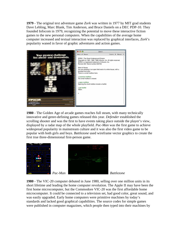**1979** - The original text adventure game *Zork* was written in 1977 by MIT grad students Dave Lebling, Marc Blank, Tim Anderson, and Bruce Daniels on a DEC PDP-10. They founded Infocom in 1979, recognizing the potential to move these interactive fiction games to the new personal computers. When the capabilities of the average home computer increased and textual interaction was replaced by graphical interfaces, *Zork*'s popularity waned in favor of graphic adventures and action games.



**1980** - The Golden Age of arcade games reaches full steam, with many technically innovative and genre-defining games released this year. *Defender* established the scrolling shooter and was the first to have events taking place outside the player's view, displayed by a radar map of the whole playfield. *Pac-Man* was the first game to achieve widespread popularity in mainstream culture and it was also the first video game to be popular with both girls and boys. *Battlezone* used wireframe vector graphics to create the first true three-dimensional first-person game.



**1980** - The VIC-20 computer debuted in June 1980, selling over one million units in its short lifetime and leading the home computer revolution. The Apple II may have been the first home microcomputer, but the Commodore VIC-20 was the first affordable home microcomputer. It could be connected to a television set, had good color, great sound, and was easily upgraded. Early home computers were primitive machines by today's standards and lacked good graphical capabilities. The source codes for simple games were published in computer magazines, which people then typed into their machines by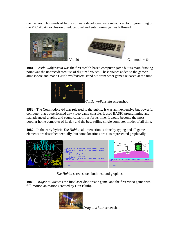themselves. Thousands of future software developers were introduced to programming on the VIC 20. An explosion of educational and entertaining games followed.



**1981 -** *Castle Wolfenstein* was the first stealth-based computer game but its main drawing point was the unprecedented use of digitized voices. These voices added to the game's atmosphere and made *Castle Wolfenstein* stand out from other games released at the time.



*Castle Wolfenstein* screenshot.

**1982** - The Commodore 64 was released to the public. It was an inexpensive but powerful computer that outperformed any video game console. It used BASIC programming and had advanced graphic and sound capabilities for its time. It would become the most popular home computer of its day and the best-selling single computer model of all time.

**1982** - In the early hybrid *The Hobbit*, all interaction is done by typing and all game elements are described textually, but some locations are also represented graphically.



*The Hobbit* screenshots: both text and graphics.

**1983** - *Dragon's Lair* was the first laser-disc arcade game, and the first video game with full-motion animation (created by Don Bluth).



*Dragon's Lair* screenshot.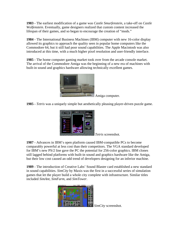**1983 -** The earliest modification of a game was *Castle Smurfenstein*, a take-off on *Castle Wolfenstein*. Eventually, game designers realized that custom content increased the lifespan of their games, and so began to encourage the creation of "mods."

**1984** - The International Business Machines (IBM) computer with new 16-color display allowed its graphics to approach the quality seen in popular home computers like the Commodore 64, but it still had poor sound capabilities. The Apple Macintosh was also introduced at this time, with a much higher pixel resolution and user-friendly interface.

**1985** - The home computer gaming market took over from the arcade console market. The arrival of the Commodore Amiga was the beginning of a new era of machines with built-in sound and graphics hardware allowing technically excellent games.



Amiga computer.

**1985 -** *Tetris* was a uniquely simple but aesthetically pleasing player-driven puzzle game.



*Tetris* screenshot.

**1987** - Advances in IBM's open platform caused IBM-compatible PCs to become comparably powerful at less cost than their competitors. The VGA standard developed for IBM's new PS/2 line gave the PC the potential for 256-color graphics. IBM clones still lagged behind platforms with built-in sound and graphics hardware like the Amiga, but their low cost caused an odd trend of developers designing for an inferior machine.

**1989** - The introduction of Creative Labs' Sound Blaster card established a new standard in sound capabilities. *SimCity* by Maxis was the first in a successful series of simulation games that let the player build a whole city complete with infrastructure. Similar titles included *SimAnt*, *SimFarm*, and *SimTower*.



*SimCity* screenshot.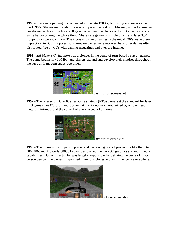**1990** - Shareware gaming first appeared in the late 1980's, but its big successes came in the 1990's. Shareware distribution was a popular method of publishing games by smaller developers such as id Software. It gave consumers the chance to try out an episode of a game before buying the whole thing. Shareware games on single 5 1/4" and later 3.5" floppy disks were common. The increasing size of games in the mid-1990's made them impractical to fit on floppies, so shareware games were replaced by shorter demos often distributed free on CDs with gaming magazines and over the internet.

**1991** - *Sid Meier's Civilization* was a pioneer in the genre of turn-based strategy games. The game begins in 4000 BC, and players expand and develop their empires throughout the ages until modern space-age times.



*Civilization* screenshot.

**1992** - The release of *Dune II*, a real-time strategy (RTS) game, set the standard for later RTS games like *Warcraft* and *Command and Conquer* characterized by an overhead view, a mini-map, and the control of every aspect of an army.



*Warcraft* screenshot.

**1993** - The increasing computing power and decreasing cost of processors like the Intel 386, 486, and Motorola 68030 began to allow rudimentary 3D graphics and multimedia capabilities. *Doom* in particular was largely responsible for defining the genre of firstperson perspective games. It spawned numerous clones and its influence is everywhere.



*Doom* screenshot.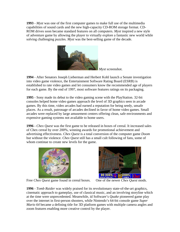**1993** - *Myst* was one of the first computer games to make full use of the multimedia capabilities of sound cards and the new high-capacity CD-ROM storage format. CD-ROM drives soon became standard features on all computers. *Myst* inspired a new style of adventure game by allowing the player to virtually explore a fantastic new world while solving challenging puzzles. *Myst* was the best-selling game of the decade.



*Myst* screenshot.

**1994** - After Senators Joseph Lieberman and Herbert Kohl launch a Senate investigation into video game violence, the Entertainment Software Rating Board (ESRB) is established to rate video games and let consumers know the recommended age of players for each game. By the end of 1997, most software features ratings on its packaging.

**1995** - Sony made its debut to the video gaming scene with the PlayStation. 32-bit consoles helped home video games approach the level of 3D graphics seen in arcade games. By this time, video arcades had earned a reputation for being seedy, unsafe places. As a result, patronage of arcades declined in favor of home video games. Small arcades were replaced by large amusement centers offering clean, safe environments and expensive gaming systems not available to home users.

**1996 -** *Chex Quest* was the first game to be released in boxes of cereal. It increased sales of Chex cereal by over 200%, winning awards for promotional achievement and advertising effectiveness. *Chex Quest* is a total conversion of the computer game *Doom*  but without the violence. *Chex Quest* still has a small cult following of fans, some of whom continue to create new levels for the game.



Free *Chex Quest* game found in cereal boxes. One of the newer *Chex Quest* mods.



**1996** - *Tomb Raider* was widely praised for its revolutionary state-of-the-art graphics, cinematic approach to gameplay, use of classical music, and an involving storyline which at the time were unprecedented. Meanwhile, id Software's *Quake* pioneered game play over the internet in first-person shooters, while Nintendo's 64-bit console game *Super Mario 64* became a defining title for 3D platform games with multiple camera angles and zoom features enabling more creative control by the player.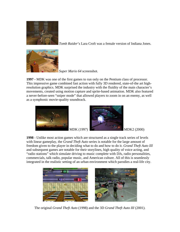

*Tomb Raider*'s Lara Croft was a female version of Indiana Jones.



*Super Mario 64* screenshot.

**1997 -** MDK was one of the first games to run only on the Pentium class of processor. This impressive game combined fast action with fully 3D rendered, state-of-the art highresolution graphics. MDK surprised the industry with the fluidity of the main character's movements, created using motion capture and sprite-based animation. MDK also featured a never-before-seen "sniper mode" that allowed players to zoom in on an enemy, as well as a symphonic movie-quality soundtrack.





**1998** - Unlike most action games which are structured as a single track series of levels with linear gameplay, the *Grand Theft Auto* series is notable for the large amount of freedom given to the player in deciding what to do and how to do it. *Grand Theft Auto III* and subsequent games are notable for their storylines, high quality of voice acting, and "radio stations" which simulate driving to music complete with DJs, radio personalities, commercials, talk radio, popular music, and American culture. All of this is seamlessly integrated in the realistic setting of an urban environment which parodies a real-life city.



The original *Grand Theft Auto* (1998) and the 3D *Grand Theft Auto III* (2001).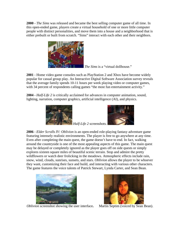**2000** - *The Sims* was released and became the best selling computer game of all time. In this open-ended game, players create a virtual household of one or more little computer people with distinct personalities, and move them into a house and a neighborhood that is either prebuilt or built from scratch. "Sims" interact with each other and their neighbors.



*The Sims* is a "virtual dollhouse."

**2001** - Home video game consoles such as PlayStation 2 and Xbox have become widely popular for casual group play. An Interactive Digital Software Association survey reveals that the average family spends 10-11 hours per week playing video or computer games, with 34 percent of respondents calling games "the most fun entertainment activity."

**2004 -** *Half-Life 2* is critically acclaimed for advances in computer animation, sound, lighting, narration, computer graphics, artificial intelligence (AI), and physics.



*Half-Life 2* screenshots.



**2006** - *Elder Scrolls IV: Oblivion* is an open-ended role-playing fantasy adventure game featuring intensely realistic environments. The player is free to go anywhere at any time. Even after completing the main quest, the game doesn't have to end. In fact, walking around the countryside is one of the most appealing aspects of this game. The main quest may be delayed or completely ignored as the player goes off on side quests or simply explores sixteen square miles of beautiful scenic terrain. Stop and admire the pretty wildflowers or watch deer frolicking in the meadows. Atmospheric effects include rain, snow, wind, clouds, sunrises, sunsets, and stars. *Oblivion* allows the player to be whoever they want, customizing their face and build, and interacting with various other characters. The game features the voice talents of Patrick Stewart, Lynda Carter, and Sean Bean.



*Oblivion* screenshot showing the user interface**.** Martin Septim (voiced by Sean Bean).